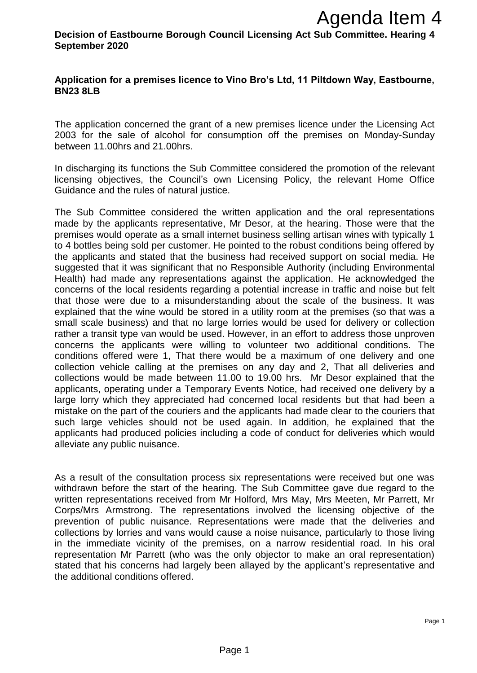**Decision of Eastbourne Borough Council Licensing Act Sub Committee. Hearing 4 September 2020**

## **Application for a premises licence to Vino Bro's Ltd, 11 Piltdown Way, Eastbourne, BN23 8LB**

The application concerned the grant of a new premises licence under the Licensing Act 2003 for the sale of alcohol for consumption off the premises on Monday-Sunday between 11.00hrs and 21.00hrs.

In discharging its functions the Sub Committee considered the promotion of the relevant licensing objectives, the Council's own Licensing Policy, the relevant Home Office Guidance and the rules of natural justice.

The Sub Committee considered the written application and the oral representations made by the applicants representative, Mr Desor, at the hearing. Those were that the premises would operate as a small internet business selling artisan wines with typically 1 to 4 bottles being sold per customer. He pointed to the robust conditions being offered by the applicants and stated that the business had received support on social media. He suggested that it was significant that no Responsible Authority (including Environmental Health) had made any representations against the application. He acknowledged the concerns of the local residents regarding a potential increase in traffic and noise but felt that those were due to a misunderstanding about the scale of the business. It was explained that the wine would be stored in a utility room at the premises (so that was a small scale business) and that no large lorries would be used for delivery or collection rather a transit type van would be used. However, in an effort to address those unproven concerns the applicants were willing to volunteer two additional conditions. The conditions offered were 1, That there would be a maximum of one delivery and one collection vehicle calling at the premises on any day and 2, That all deliveries and collections would be made between 11.00 to 19.00 hrs. Mr Desor explained that the applicants, operating under a Temporary Events Notice, had received one delivery by a large lorry which they appreciated had concerned local residents but that had been a mistake on the part of the couriers and the applicants had made clear to the couriers that such large vehicles should not be used again. In addition, he explained that the applicants had produced policies including a code of conduct for deliveries which would alleviate any public nuisance. **Agenda Item 4**<br>**Agenda Item 4**<br>**Agenda Item 4**<br>**Solution** Exercising Act Sub Committee. Hearing 4<br>
by Vino Bro's Ltd, 11 Piltdown Way, Eastbourne,<br>
f a new premises licence under the Licensing Act<br>
summittee considered th

As a result of the consultation process six representations were received but one was withdrawn before the start of the hearing. The Sub Committee gave due regard to the written representations received from Mr Holford, Mrs May, Mrs Meeten, Mr Parrett, Mr Corps/Mrs Armstrong. The representations involved the licensing objective of the prevention of public nuisance. Representations were made that the deliveries and collections by lorries and vans would cause a noise nuisance, particularly to those living in the immediate vicinity of the premises, on a narrow residential road. In his oral representation Mr Parrett (who was the only objector to make an oral representation) stated that his concerns had largely been allayed by the applicant's representative and the additional conditions offered.